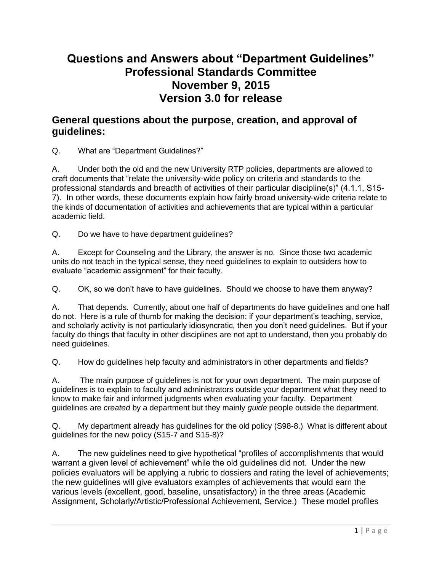# **Questions and Answers about "Department Guidelines" Professional Standards Committee November 9, 2015 Version 3.0 for release**

### **General questions about the purpose, creation, and approval of guidelines:**

Q. What are "Department Guidelines?"

A. Under both the old and the new University RTP policies, departments are allowed to craft documents that "relate the university-wide policy on criteria and standards to the professional standards and breadth of activities of their particular discipline(s)" (4.1.1, S15- 7). In other words, these documents explain how fairly broad university-wide criteria relate to the kinds of documentation of activities and achievements that are typical within a particular academic field.

Q. Do we have to have department guidelines?

A. Except for Counseling and the Library, the answer is no. Since those two academic units do not teach in the typical sense, they need guidelines to explain to outsiders how to evaluate "academic assignment" for their faculty.

Q. OK, so we don't have to have guidelines. Should we choose to have them anyway?

A. That depends. Currently, about one half of departments do have guidelines and one half do not. Here is a rule of thumb for making the decision: if your department's teaching, service, and scholarly activity is not particularly idiosyncratic, then you don't need guidelines. But if your faculty do things that faculty in other disciplines are not apt to understand, then you probably do need guidelines.

Q. How do guidelines help faculty and administrators in other departments and fields?

A. The main purpose of guidelines is not for your own department. The main purpose of guidelines is to explain to faculty and administrators outside your department what they need to know to make fair and informed judgments when evaluating your faculty. Department guidelines are *created* by a department but they mainly *guide* people outside the department.

Q. My department already has guidelines for the old policy (S98-8.) What is different about guidelines for the new policy (S15-7 and S15-8)?

A. The new guidelines need to give hypothetical "profiles of accomplishments that would warrant a given level of achievement" while the old guidelines did not. Under the new policies evaluators will be applying a rubric to dossiers and rating the level of achievements; the new guidelines will give evaluators examples of achievements that would earn the various levels (excellent, good, baseline, unsatisfactory) in the three areas (Academic Assignment, Scholarly/Artistic/Professional Achievement, Service.) These model profiles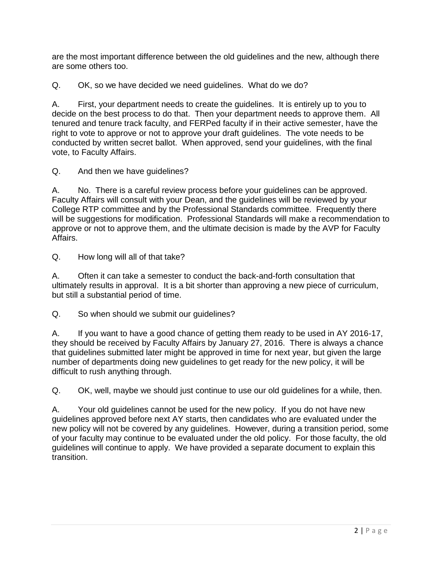are the most important difference between the old guidelines and the new, although there are some others too.

Q. OK, so we have decided we need guidelines. What do we do?

A. First, your department needs to create the guidelines. It is entirely up to you to decide on the best process to do that. Then your department needs to approve them. All tenured and tenure track faculty, and FERPed faculty if in their active semester, have the right to vote to approve or not to approve your draft guidelines. The vote needs to be conducted by written secret ballot. When approved, send your guidelines, with the final vote, to Faculty Affairs.

Q. And then we have guidelines?

A. No. There is a careful review process before your guidelines can be approved. Faculty Affairs will consult with your Dean, and the guidelines will be reviewed by your College RTP committee and by the Professional Standards committee. Frequently there will be suggestions for modification. Professional Standards will make a recommendation to approve or not to approve them, and the ultimate decision is made by the AVP for Faculty Affairs.

Q. How long will all of that take?

A. Often it can take a semester to conduct the back-and-forth consultation that ultimately results in approval. It is a bit shorter than approving a new piece of curriculum, but still a substantial period of time.

Q. So when should we submit our guidelines?

A. If you want to have a good chance of getting them ready to be used in AY 2016-17, they should be received by Faculty Affairs by January 27, 2016. There is always a chance that guidelines submitted later might be approved in time for next year, but given the large number of departments doing new guidelines to get ready for the new policy, it will be difficult to rush anything through.

Q. OK, well, maybe we should just continue to use our old guidelines for a while, then.

A. Your old guidelines cannot be used for the new policy. If you do not have new guidelines approved before next AY starts, then candidates who are evaluated under the new policy will not be covered by any guidelines. However, during a transition period, some of your faculty may continue to be evaluated under the old policy. For those faculty, the old guidelines will continue to apply. We have provided a separate document to explain this transition.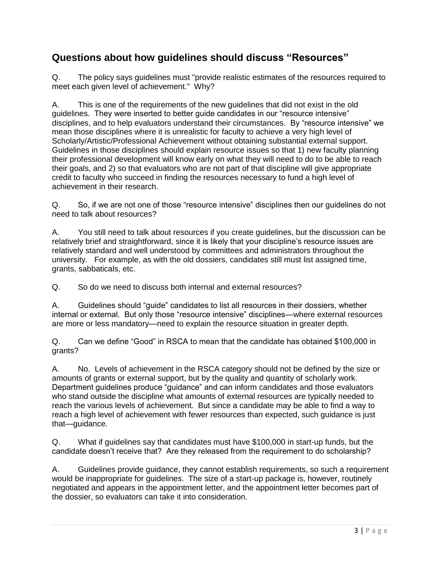### **Questions about how guidelines should discuss "Resources"**

Q. The policy says guidelines must "provide realistic estimates of the resources required to meet each given level of achievement." Why?

A. This is one of the requirements of the new guidelines that did not exist in the old guidelines. They were inserted to better guide candidates in our "resource intensive" disciplines, and to help evaluators understand their circumstances. By "resource intensive" we mean those disciplines where it is unrealistic for faculty to achieve a very high level of Scholarly/Artistic/Professional Achievement without obtaining substantial external support. Guidelines in those disciplines should explain resource issues so that 1) new faculty planning their professional development will know early on what they will need to do to be able to reach their goals, and 2) so that evaluators who are not part of that discipline will give appropriate credit to faculty who succeed in finding the resources necessary to fund a high level of achievement in their research.

Q. So, if we are not one of those "resource intensive" disciplines then our guidelines do not need to talk about resources?

A. You still need to talk about resources if you create guidelines, but the discussion can be relatively brief and straightforward, since it is likely that your discipline's resource issues are relatively standard and well understood by committees and administrators throughout the university. For example, as with the old dossiers, candidates still must list assigned time, grants, sabbaticals, etc.

Q. So do we need to discuss both internal and external resources?

A. Guidelines should "guide" candidates to list all resources in their dossiers, whether internal or external. But only those "resource intensive" disciplines—where external resources are more or less mandatory—need to explain the resource situation in greater depth.

Q. Can we define "Good" in RSCA to mean that the candidate has obtained \$100,000 in grants?

A. No. Levels of achievement in the RSCA category should not be defined by the size or amounts of grants or external support, but by the quality and quantity of scholarly work. Department guidelines produce "guidance" and can inform candidates and those evaluators who stand outside the discipline what amounts of external resources are typically needed to reach the various levels of achievement. But since a candidate may be able to find a way to reach a high level of achievement with fewer resources than expected, such guidance is just that—guidance.

Q. What if guidelines say that candidates must have \$100,000 in start-up funds, but the candidate doesn't receive that? Are they released from the requirement to do scholarship?

A. Guidelines provide guidance, they cannot establish requirements, so such a requirement would be inappropriate for guidelines. The size of a start-up package is, however, routinely negotiated and appears in the appointment letter, and the appointment letter becomes part of the dossier, so evaluators can take it into consideration.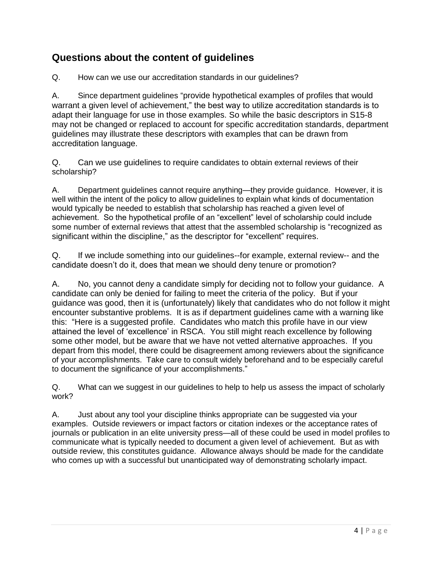## **Questions about the content of guidelines**

Q. How can we use our accreditation standards in our guidelines?

A. Since department guidelines "provide hypothetical examples of profiles that would warrant a given level of achievement," the best way to utilize accreditation standards is to adapt their language for use in those examples. So while the basic descriptors in S15-8 may not be changed or replaced to account for specific accreditation standards, department guidelines may illustrate these descriptors with examples that can be drawn from accreditation language.

Q. Can we use guidelines to require candidates to obtain external reviews of their scholarship?

A. Department guidelines cannot require anything—they provide guidance. However, it is well within the intent of the policy to allow guidelines to explain what kinds of documentation would typically be needed to establish that scholarship has reached a given level of achievement. So the hypothetical profile of an "excellent" level of scholarship could include some number of external reviews that attest that the assembled scholarship is "recognized as significant within the discipline," as the descriptor for "excellent" requires.

Q. If we include something into our guidelines--for example, external review-- and the candidate doesn't do it, does that mean we should deny tenure or promotion?

A. No, you cannot deny a candidate simply for deciding not to follow your guidance. A candidate can only be denied for failing to meet the criteria of the policy. But if your guidance was good, then it is (unfortunately) likely that candidates who do not follow it might encounter substantive problems. It is as if department guidelines came with a warning like this: "Here is a suggested profile. Candidates who match this profile have in our view attained the level of 'excellence' in RSCA. You still might reach excellence by following some other model, but be aware that we have not vetted alternative approaches. If you depart from this model, there could be disagreement among reviewers about the significance of your accomplishments. Take care to consult widely beforehand and to be especially careful to document the significance of your accomplishments."

Q. What can we suggest in our guidelines to help to help us assess the impact of scholarly work?

A. Just about any tool your discipline thinks appropriate can be suggested via your examples. Outside reviewers or impact factors or citation indexes or the acceptance rates of journals or publication in an elite university press—all of these could be used in model profiles to communicate what is typically needed to document a given level of achievement. But as with outside review, this constitutes guidance. Allowance always should be made for the candidate who comes up with a successful but unanticipated way of demonstrating scholarly impact.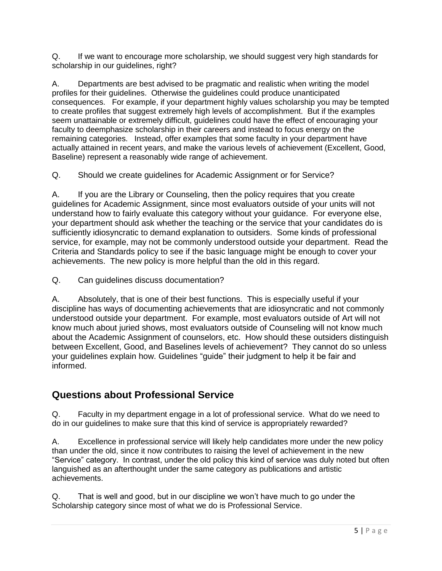Q. If we want to encourage more scholarship, we should suggest very high standards for scholarship in our guidelines, right?

A. Departments are best advised to be pragmatic and realistic when writing the model profiles for their guidelines. Otherwise the guidelines could produce unanticipated consequences. For example, if your department highly values scholarship you may be tempted to create profiles that suggest extremely high levels of accomplishment. But if the examples seem unattainable or extremely difficult, guidelines could have the effect of encouraging your faculty to deemphasize scholarship in their careers and instead to focus energy on the remaining categories. Instead, offer examples that some faculty in your department have actually attained in recent years, and make the various levels of achievement (Excellent, Good, Baseline) represent a reasonably wide range of achievement.

Q. Should we create guidelines for Academic Assignment or for Service?

A. If you are the Library or Counseling, then the policy requires that you create guidelines for Academic Assignment, since most evaluators outside of your units will not understand how to fairly evaluate this category without your guidance. For everyone else, your department should ask whether the teaching or the service that your candidates do is sufficiently idiosyncratic to demand explanation to outsiders. Some kinds of professional service, for example, may not be commonly understood outside your department. Read the Criteria and Standards policy to see if the basic language might be enough to cover your achievements. The new policy is more helpful than the old in this regard.

Q. Can guidelines discuss documentation?

A. Absolutely, that is one of their best functions. This is especially useful if your discipline has ways of documenting achievements that are idiosyncratic and not commonly understood outside your department. For example, most evaluators outside of Art will not know much about juried shows, most evaluators outside of Counseling will not know much about the Academic Assignment of counselors, etc. How should these outsiders distinguish between Excellent, Good, and Baselines levels of achievement? They cannot do so unless your guidelines explain how. Guidelines "guide" their judgment to help it be fair and informed.

# **Questions about Professional Service**

Q. Faculty in my department engage in a lot of professional service. What do we need to do in our guidelines to make sure that this kind of service is appropriately rewarded?

A. Excellence in professional service will likely help candidates more under the new policy than under the old, since it now contributes to raising the level of achievement in the new "Service" category. In contrast, under the old policy this kind of service was duly noted but often languished as an afterthought under the same category as publications and artistic achievements.

Q. That is well and good, but in our discipline we won't have much to go under the Scholarship category since most of what we do is Professional Service.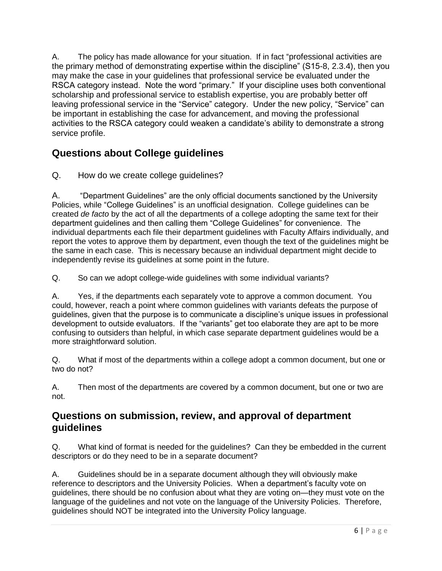A. The policy has made allowance for your situation. If in fact "professional activities are the primary method of demonstrating expertise within the discipline" (S15-8, 2.3.4), then you may make the case in your guidelines that professional service be evaluated under the RSCA category instead. Note the word "primary." If your discipline uses both conventional scholarship and professional service to establish expertise, you are probably better off leaving professional service in the "Service" category. Under the new policy, "Service" can be important in establishing the case for advancement, and moving the professional activities to the RSCA category could weaken a candidate's ability to demonstrate a strong service profile.

# **Questions about College guidelines**

Q. How do we create college guidelines?

A. "Department Guidelines" are the only official documents sanctioned by the University Policies, while "College Guidelines" is an unofficial designation. College guidelines can be created *de facto* by the act of all the departments of a college adopting the same text for their department guidelines and then calling them "College Guidelines" for convenience. The individual departments each file their department guidelines with Faculty Affairs individually, and report the votes to approve them by department, even though the text of the guidelines might be the same in each case. This is necessary because an individual department might decide to independently revise its guidelines at some point in the future.

Q. So can we adopt college-wide guidelines with some individual variants?

A. Yes, if the departments each separately vote to approve a common document. You could, however, reach a point where common guidelines with variants defeats the purpose of guidelines, given that the purpose is to communicate a discipline's unique issues in professional development to outside evaluators. If the "variants" get too elaborate they are apt to be more confusing to outsiders than helpful, in which case separate department guidelines would be a more straightforward solution.

Q. What if most of the departments within a college adopt a common document, but one or two do not?

A. Then most of the departments are covered by a common document, but one or two are not.

#### **Questions on submission, review, and approval of department guidelines**

Q. What kind of format is needed for the guidelines? Can they be embedded in the current descriptors or do they need to be in a separate document?

A. Guidelines should be in a separate document although they will obviously make reference to descriptors and the University Policies. When a department's faculty vote on guidelines, there should be no confusion about what they are voting on—they must vote on the language of the guidelines and not vote on the language of the University Policies. Therefore, guidelines should NOT be integrated into the University Policy language.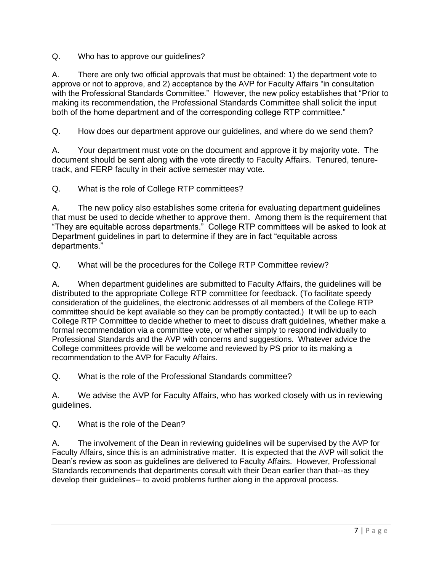Q. Who has to approve our guidelines?

A. There are only two official approvals that must be obtained: 1) the department vote to approve or not to approve, and 2) acceptance by the AVP for Faculty Affairs "in consultation with the Professional Standards Committee." However, the new policy establishes that "Prior to making its recommendation, the Professional Standards Committee shall solicit the input both of the home department and of the corresponding college RTP committee."

Q. How does our department approve our guidelines, and where do we send them?

A. Your department must vote on the document and approve it by majority vote. The document should be sent along with the vote directly to Faculty Affairs. Tenured, tenuretrack, and FERP faculty in their active semester may vote.

Q. What is the role of College RTP committees?

A. The new policy also establishes some criteria for evaluating department guidelines that must be used to decide whether to approve them. Among them is the requirement that "They are equitable across departments." College RTP committees will be asked to look at Department guidelines in part to determine if they are in fact "equitable across departments."

Q. What will be the procedures for the College RTP Committee review?

A. When department guidelines are submitted to Faculty Affairs, the guidelines will be distributed to the appropriate College RTP committee for feedback. (To facilitate speedy consideration of the guidelines, the electronic addresses of all members of the College RTP committee should be kept available so they can be promptly contacted.) It will be up to each College RTP Committee to decide whether to meet to discuss draft guidelines, whether make a formal recommendation via a committee vote, or whether simply to respond individually to Professional Standards and the AVP with concerns and suggestions. Whatever advice the College committees provide will be welcome and reviewed by PS prior to its making a recommendation to the AVP for Faculty Affairs.

Q. What is the role of the Professional Standards committee?

A. We advise the AVP for Faculty Affairs, who has worked closely with us in reviewing guidelines.

Q. What is the role of the Dean?

A. The involvement of the Dean in reviewing guidelines will be supervised by the AVP for Faculty Affairs, since this is an administrative matter. It is expected that the AVP will solicit the Dean's review as soon as guidelines are delivered to Faculty Affairs. However, Professional Standards recommends that departments consult with their Dean earlier than that--as they develop their guidelines-- to avoid problems further along in the approval process.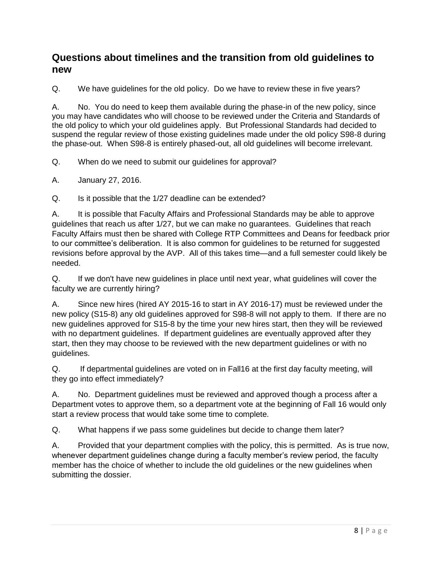#### **Questions about timelines and the transition from old guidelines to new**

Q. We have guidelines for the old policy. Do we have to review these in five years?

A. No. You do need to keep them available during the phase-in of the new policy, since you may have candidates who will choose to be reviewed under the Criteria and Standards of the old policy to which your old guidelines apply. But Professional Standards had decided to suspend the regular review of those existing guidelines made under the old policy S98-8 during the phase-out. When S98-8 is entirely phased-out, all old guidelines will become irrelevant.

Q. When do we need to submit our guidelines for approval?

A. January 27, 2016.

Q. Is it possible that the 1/27 deadline can be extended?

A. It is possible that Faculty Affairs and Professional Standards may be able to approve guidelines that reach us after 1/27, but we can make no guarantees. Guidelines that reach Faculty Affairs must then be shared with College RTP Committees and Deans for feedback prior to our committee's deliberation. It is also common for guidelines to be returned for suggested revisions before approval by the AVP. All of this takes time—and a full semester could likely be needed.

Q. If we don't have new guidelines in place until next year, what guidelines will cover the faculty we are currently hiring?

A. Since new hires (hired AY 2015-16 to start in AY 2016-17) must be reviewed under the new policy (S15-8) any old guidelines approved for S98-8 will not apply to them. If there are no new guidelines approved for S15-8 by the time your new hires start, then they will be reviewed with no department guidelines. If department guidelines are eventually approved after they start, then they may choose to be reviewed with the new department guidelines or with no guidelines.

Q. If departmental guidelines are voted on in Fall16 at the first day faculty meeting, will they go into effect immediately?

A. No. Department guidelines must be reviewed and approved though a process after a Department votes to approve them, so a department vote at the beginning of Fall 16 would only start a review process that would take some time to complete.

Q. What happens if we pass some guidelines but decide to change them later?

A. Provided that your department complies with the policy, this is permitted. As is true now, whenever department guidelines change during a faculty member's review period, the faculty member has the choice of whether to include the old guidelines or the new guidelines when submitting the dossier.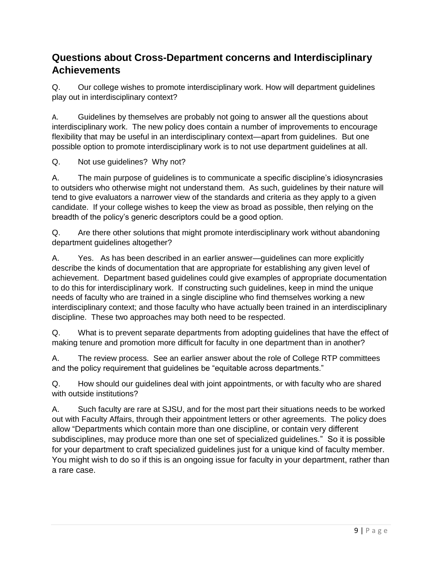# **Questions about Cross-Department concerns and Interdisciplinary Achievements**

Q. Our college wishes to promote interdisciplinary work. How will department guidelines play out in interdisciplinary context?

A. Guidelines by themselves are probably not going to answer all the questions about interdisciplinary work. The new policy does contain a number of improvements to encourage flexibility that may be useful in an interdisciplinary context—apart from guidelines. But one possible option to promote interdisciplinary work is to not use department guidelines at all.

Q. Not use guidelines? Why not?

A. The main purpose of guidelines is to communicate a specific discipline's idiosyncrasies to outsiders who otherwise might not understand them. As such, guidelines by their nature will tend to give evaluators a narrower view of the standards and criteria as they apply to a given candidate. If your college wishes to keep the view as broad as possible, then relying on the breadth of the policy's generic descriptors could be a good option.

Q. Are there other solutions that might promote interdisciplinary work without abandoning department guidelines altogether?

A. Yes. As has been described in an earlier answer—guidelines can more explicitly describe the kinds of documentation that are appropriate for establishing any given level of achievement. Department based guidelines could give examples of appropriate documentation to do this for interdisciplinary work. If constructing such guidelines, keep in mind the unique needs of faculty who are trained in a single discipline who find themselves working a new interdisciplinary context; and those faculty who have actually been trained in an interdisciplinary discipline. These two approaches may both need to be respected.

Q. What is to prevent separate departments from adopting guidelines that have the effect of making tenure and promotion more difficult for faculty in one department than in another?

A. The review process. See an earlier answer about the role of College RTP committees and the policy requirement that guidelines be "equitable across departments."

Q. How should our guidelines deal with joint appointments, or with faculty who are shared with outside institutions?

A. Such faculty are rare at SJSU, and for the most part their situations needs to be worked out with Faculty Affairs, through their appointment letters or other agreements. The policy does allow "Departments which contain more than one discipline, or contain very different subdisciplines, may produce more than one set of specialized guidelines." So it is possible for your department to craft specialized guidelines just for a unique kind of faculty member. You might wish to do so if this is an ongoing issue for faculty in your department, rather than a rare case.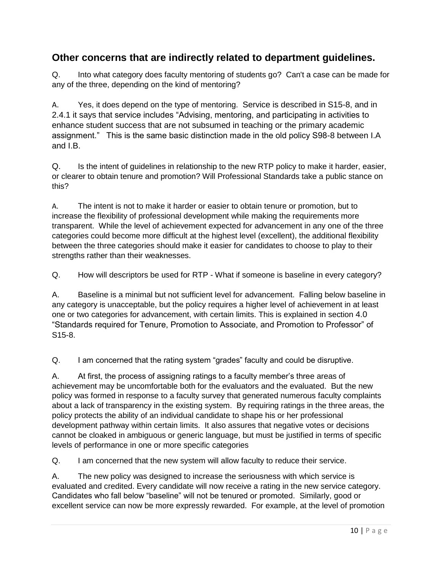### **Other concerns that are indirectly related to department guidelines.**

Q. Into what category does faculty mentoring of students go? Can't a case can be made for any of the three, depending on the kind of mentoring?

A. Yes, it does depend on the type of mentoring. Service is described in S15-8, and in 2.4.1 it says that service includes "Advising, mentoring, and participating in activities to enhance student success that are not subsumed in teaching or the primary academic assignment." This is the same basic distinction made in the old policy S98-8 between I.A and I.B.

Q. Is the intent of guidelines in relationship to the new RTP policy to make it harder, easier, or clearer to obtain tenure and promotion? Will Professional Standards take a public stance on this?

A. The intent is not to make it harder or easier to obtain tenure or promotion, but to increase the flexibility of professional development while making the requirements more transparent. While the level of achievement expected for advancement in any one of the three categories could become more difficult at the highest level (excellent), the additional flexibility between the three categories should make it easier for candidates to choose to play to their strengths rather than their weaknesses.

Q. How will descriptors be used for RTP - What if someone is baseline in every category?

A. Baseline is a minimal but not sufficient level for advancement. Falling below baseline in any category is unacceptable, but the policy requires a higher level of achievement in at least one or two categories for advancement, with certain limits. This is explained in section 4.0 "Standards required for Tenure, Promotion to Associate, and Promotion to Professor" of S15-8.

Q. I am concerned that the rating system "grades" faculty and could be disruptive.

A. At first, the process of assigning ratings to a faculty member's three areas of achievement may be uncomfortable both for the evaluators and the evaluated. But the new policy was formed in response to a faculty survey that generated numerous faculty complaints about a lack of transparency in the existing system. By requiring ratings in the three areas, the policy protects the ability of an individual candidate to shape his or her professional development pathway within certain limits. It also assures that negative votes or decisions cannot be cloaked in ambiguous or generic language, but must be justified in terms of specific levels of performance in one or more specific categories

Q. I am concerned that the new system will allow faculty to reduce their service.

A. The new policy was designed to increase the seriousness with which service is evaluated and credited. Every candidate will now receive a rating in the new service category. Candidates who fall below "baseline" will not be tenured or promoted. Similarly, good or excellent service can now be more expressly rewarded. For example, at the level of promotion